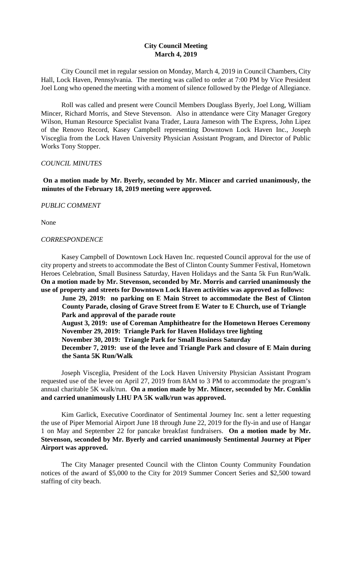# **City Council Meeting March 4, 2019**

City Council met in regular session on Monday, March 4, 2019 in Council Chambers, City Hall, Lock Haven, Pennsylvania. The meeting was called to order at 7:00 PM by Vice President Joel Long who opened the meeting with a moment of silence followed by the Pledge of Allegiance.

Roll was called and present were Council Members Douglass Byerly, Joel Long, William Mincer, Richard Morris, and Steve Stevenson. Also in attendance were City Manager Gregory Wilson, Human Resource Specialist Ivana Trader, Laura Jameson with The Express, John Lipez of the Renovo Record, Kasey Campbell representing Downtown Lock Haven Inc., Joseph Visceglia from the Lock Haven University Physician Assistant Program, and Director of Public Works Tony Stopper.

## *COUNCIL MINUTES*

**On a motion made by Mr. Byerly, seconded by Mr. Mincer and carried unanimously, the minutes of the February 18, 2019 meeting were approved.** 

## *PUBLIC COMMENT*

None

## *CORRESPONDENCE*

Kasey Campbell of Downtown Lock Haven Inc. requested Council approval for the use of city property and streets to accommodate the Best of Clinton County Summer Festival, Hometown Heroes Celebration, Small Business Saturday, Haven Holidays and the Santa 5k Fun Run/Walk. **On a motion made by Mr. Stevenson, seconded by Mr. Morris and carried unanimously the use of property and streets for Downtown Lock Haven activities was approved as follows:** 

**June 29, 2019: no parking on E Main Street to accommodate the Best of Clinton County Parade, closing of Grave Street from E Water to E Church, use of Triangle Park and approval of the parade route** 

**August 3, 2019: use of Coreman Amphitheatre for the Hometown Heroes Ceremony November 29, 2019: Triangle Park for Haven Holidays tree lighting November 30, 2019: Triangle Park for Small Business Saturday** 

**December 7, 2019: use of the levee and Triangle Park and closure of E Main during the Santa 5K Run/Walk** 

Joseph Visceglia, President of the Lock Haven University Physician Assistant Program requested use of the levee on April 27, 2019 from 8AM to 3 PM to accommodate the program's annual charitable 5K walk/run. **On a motion made by Mr. Mincer, seconded by Mr. Conklin and carried unanimously LHU PA 5K walk/run was approved.** 

Kim Garlick, Executive Coordinator of Sentimental Journey Inc. sent a letter requesting the use of Piper Memorial Airport June 18 through June 22, 2019 for the fly-in and use of Hangar 1 on May and September 22 for pancake breakfast fundraisers. **On a motion made by Mr. Stevenson, seconded by Mr. Byerly and carried unanimously Sentimental Journey at Piper Airport was approved.** 

The City Manager presented Council with the Clinton County Community Foundation notices of the award of \$5,000 to the City for 2019 Summer Concert Series and \$2,500 toward staffing of city beach.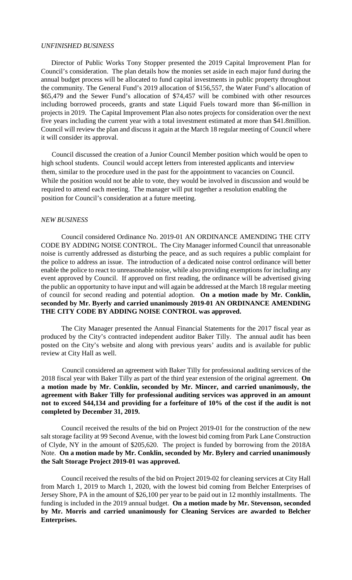#### *UNFINISHED BUSINESS*

Director of Public Works Tony Stopper presented the 2019 Capital Improvement Plan for Council's consideration. The plan details how the monies set aside in each major fund during the annual budget process will be allocated to fund capital investments in public property throughout the community. The General Fund's 2019 allocation of \$156,557, the Water Fund's allocation of \$65,479 and the Sewer Fund's allocation of \$74,457 will be combined with other resources including borrowed proceeds, grants and state Liquid Fuels toward more than \$6-million in projects in 2019. The Capital Improvement Plan also notes projects for consideration over the next five years including the current year with a total investment estimated at more than \$41.8million. Council will review the plan and discuss it again at the March 18 regular meeting of Council where it will consider its approval.

Council discussed the creation of a Junior Council Member position which would be open to high school students. Council would accept letters from interested applicants and interview them, similar to the procedure used in the past for the appointment to vacancies on Council. While the position would not be able to vote, they would be involved in discussion and would be required to attend each meeting. The manager will put together a resolution enabling the position for Council's consideration at a future meeting.

#### *NEW BUSINESS*

Council considered Ordinance No. 2019-01 AN ORDINANCE AMENDING THE CITY CODE BY ADDING NOISE CONTROL. The City Manager informed Council that unreasonable noise is currently addressed as disturbing the peace, and as such requires a public complaint for the police to address an issue. The introduction of a dedicated noise control ordinance will better enable the police to react to unreasonable noise, while also providing exemptions for including any event approved by Council. If approved on first reading, the ordinance will be advertised giving the public an opportunity to have input and will again be addressed at the March 18 regular meeting of council for second reading and potential adoption. **On a motion made by Mr. Conklin, seconded by Mr. Byerly and carried unanimously 2019-01 AN ORDINANCE AMENDING THE CITY CODE BY ADDING NOISE CONTROL was approved.** 

The City Manager presented the Annual Financial Statements for the 2017 fiscal year as produced by the City's contracted independent auditor Baker Tilly. The annual audit has been posted on the City's website and along with previous years' audits and is available for public review at City Hall as well.

Council considered an agreement with Baker Tilly for professional auditing services of the 2018 fiscal year with Baker Tilly as part of the third year extension of the original agreement. **On a motion made by Mr. Conklin, seconded by Mr. Mincer, and carried unanimously, the agreement with Baker Tilly for professional auditing services was approved in an amount not to exceed \$44,134 and providing for a forfeiture of 10% of the cost if the audit is not completed by December 31, 2019.**

Council received the results of the bid on Project 2019-01 for the construction of the new salt storage facility at 99 Second Avenue, with the lowest bid coming from Park Lane Construction of Clyde, NY in the amount of \$205,620. The project is funded by borrowing from the 2018A Note. **On a motion made by Mr. Conklin, seconded by Mr. Bylery and carried unanimously the Salt Storage Project 2019-01 was approved.** 

Council received the results of the bid on Project 2019-02 for cleaning services at City Hall from March 1, 2019 to March 1, 2020, with the lowest bid coming from Belcher Enterprises of Jersey Shore, PA in the amount of \$26,100 per year to be paid out in 12 monthly installments. The funding is included in the 2019 annual budget. **On a motion made by Mr. Stevenson, seconded by Mr. Morris and carried unanimously for Cleaning Services are awarded to Belcher Enterprises.**